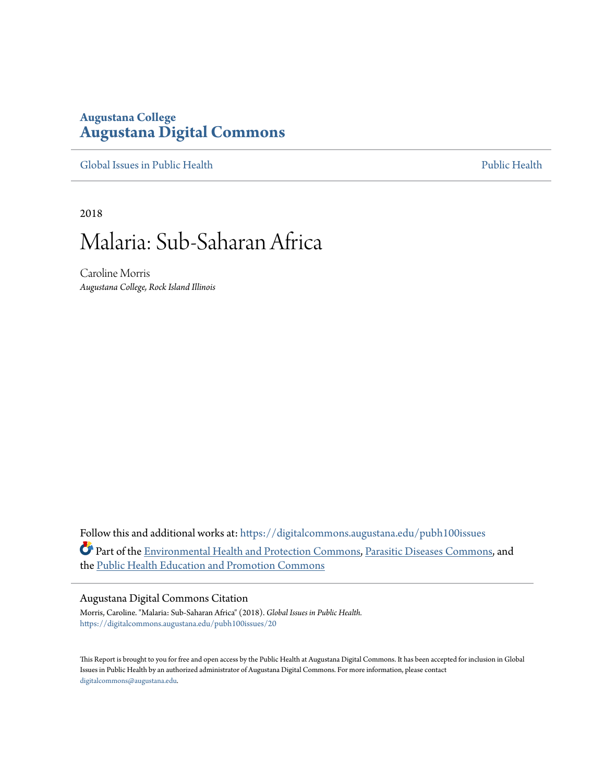# **Augustana College [Augustana Digital Commons](https://digitalcommons.augustana.edu?utm_source=digitalcommons.augustana.edu%2Fpubh100issues%2F20&utm_medium=PDF&utm_campaign=PDFCoverPages)**

[Global Issues in Public Health](https://digitalcommons.augustana.edu/pubh100issues?utm_source=digitalcommons.augustana.edu%2Fpubh100issues%2F20&utm_medium=PDF&utm_campaign=PDFCoverPages) [Public Health](https://digitalcommons.augustana.edu/publichealth?utm_source=digitalcommons.augustana.edu%2Fpubh100issues%2F20&utm_medium=PDF&utm_campaign=PDFCoverPages) Public Health Public Health Public Health

2018

# Malaria: Sub-Saharan Africa

Caroline Morris *Augustana College, Rock Island Illinois*

Follow this and additional works at: [https://digitalcommons.augustana.edu/pubh100issues](https://digitalcommons.augustana.edu/pubh100issues?utm_source=digitalcommons.augustana.edu%2Fpubh100issues%2F20&utm_medium=PDF&utm_campaign=PDFCoverPages) Part of the [Environmental Health and Protection Commons,](http://network.bepress.com/hgg/discipline/172?utm_source=digitalcommons.augustana.edu%2Fpubh100issues%2F20&utm_medium=PDF&utm_campaign=PDFCoverPages) [Parasitic Diseases Commons,](http://network.bepress.com/hgg/discipline/983?utm_source=digitalcommons.augustana.edu%2Fpubh100issues%2F20&utm_medium=PDF&utm_campaign=PDFCoverPages) and the [Public Health Education and Promotion Commons](http://network.bepress.com/hgg/discipline/743?utm_source=digitalcommons.augustana.edu%2Fpubh100issues%2F20&utm_medium=PDF&utm_campaign=PDFCoverPages)

#### Augustana Digital Commons Citation

Morris, Caroline. "Malaria: Sub-Saharan Africa" (2018). *Global Issues in Public Health.* [https://digitalcommons.augustana.edu/pubh100issues/20](https://digitalcommons.augustana.edu/pubh100issues/20?utm_source=digitalcommons.augustana.edu%2Fpubh100issues%2F20&utm_medium=PDF&utm_campaign=PDFCoverPages)

This Report is brought to you for free and open access by the Public Health at Augustana Digital Commons. It has been accepted for inclusion in Global Issues in Public Health by an authorized administrator of Augustana Digital Commons. For more information, please contact [digitalcommons@augustana.edu.](mailto:digitalcommons@augustana.edu)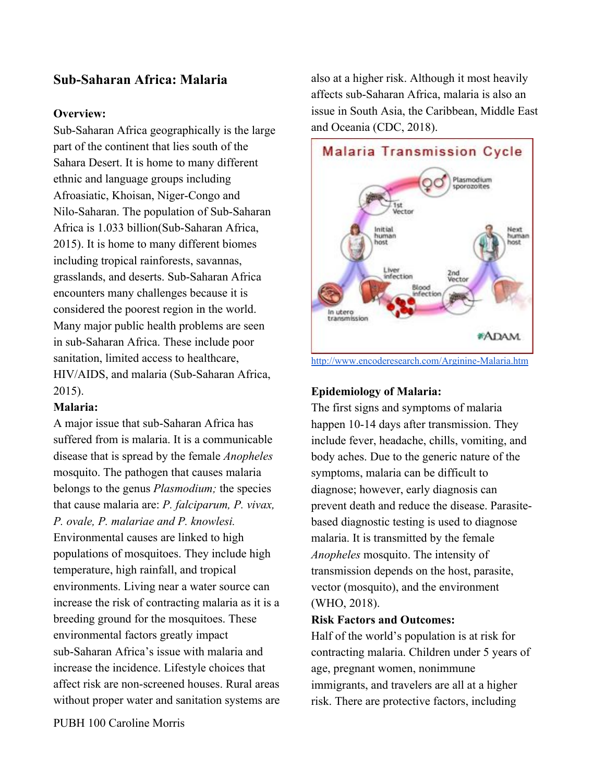# **Sub-Saharan Africa: Malaria**

## **Overview:**

Sub-Saharan Africa geographically is the large part of the continent that lies south of the Sahara Desert. It is home to many different ethnic and language groups including Afroasiatic, Khoisan, Niger-Congo and Nilo-Saharan. The population of Sub-Saharan Africa is 1.033 billion(Sub-Saharan Africa, 2015). It is home to many different biomes including tropical rainforests, savannas, grasslands, and deserts. Sub-Saharan Africa encounters many challenges because it is considered the poorest region in the world. Many major public health problems are seen in sub-Saharan Africa. These include poor sanitation, limited access to healthcare, HIV/AIDS, and malaria (Sub-Saharan Africa, 2015).

## **Malaria:**

A major issue that sub-Saharan Africa has suffered from is malaria. It is a communicable disease that is spread by the female *Anopheles* mosquito. The pathogen that causes malaria belongs to the genus *Plasmodium;* the species that cause malaria are: *P. falciparum, P. vivax, P. ovale, P. malariae and P. knowlesi.* Environmental causes are linked to high populations of mosquitoes. They include high temperature, high rainfall, and tropical environments. Living near a water source can increase the risk of contracting malaria as it is a breeding ground for the mosquitoes. These environmental factors greatly impact sub-Saharan Africa's issue with malaria and increase the incidence. Lifestyle choices that affect risk are non-screened houses. Rural areas without proper water and sanitation systems are also at a higher risk. Although it most heavily affects sub-Saharan Africa, malaria is also an issue in South Asia, the Caribbean, Middle East and Oceania (CDC, 2018).



<http://www.encoderesearch.com/Arginine-Malaria.htm>

#### **Epidemiology of Malaria:**

The first signs and symptoms of malaria happen 10-14 days after transmission. They include fever, headache, chills, vomiting, and body aches. Due to the generic nature of the symptoms, malaria can be difficult to diagnose; however, early diagnosis can prevent death and reduce the disease. Parasitebased diagnostic testing is used to diagnose malaria. It is transmitted by the female *Anopheles* mosquito. The intensity of transmission depends on the host, parasite, vector (mosquito), and the environment (WHO, 2018).

## **Risk Factors and Outcomes:**

Half of the world's population is at risk for contracting malaria. Children under 5 years of age, pregnant women, nonimmune immigrants, and travelers are all at a higher risk. There are protective factors, including

PUBH 100 Caroline Morris